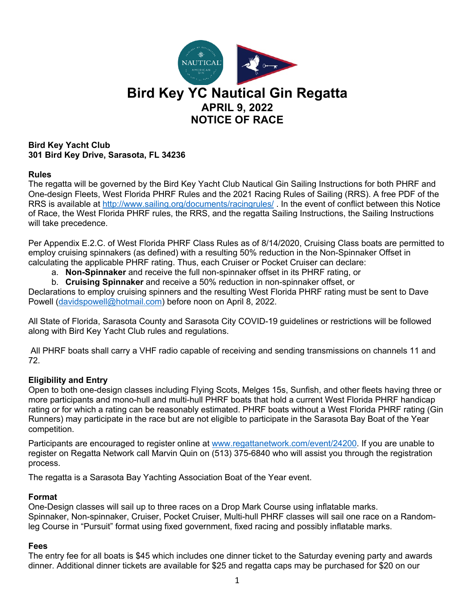

## **Bird Key Yacht Club 301 Bird Key Drive, Sarasota, FL 34236**

## **Rules**

The regatta will be governed by the Bird Key Yacht Club Nautical Gin Sailing Instructions for both PHRF and One-design Fleets, West Florida PHRF Rules and the 2021 Racing Rules of Sailing (RRS). A free PDF of the RRS is available at http://www.sailing.org/documents/racingrules/ . In the event of conflict between this Notice of Race, the West Florida PHRF rules, the RRS, and the regatta Sailing Instructions, the Sailing Instructions will take precedence.

Per Appendix E.2.C. of West Florida PHRF Class Rules as of 8/14/2020, Cruising Class boats are permitted to employ cruising spinnakers (as defined) with a resulting 50% reduction in the Non-Spinnaker Offset in calculating the applicable PHRF rating. Thus, each Cruiser or Pocket Cruiser can declare:

a. **Non-Spinnaker** and receive the full non-spinnaker offset in its PHRF rating, or

b. **Cruising Spinnaker** and receive a 50% reduction in non-spinnaker offset, or

Declarations to employ cruising spinners and the resulting West Florida PHRF rating must be sent to Dave Powell (davidspowell@hotmail.com) before noon on April 8, 2022.

All State of Florida, Sarasota County and Sarasota City COVID-19 guidelines or restrictions will be followed along with Bird Key Yacht Club rules and regulations.

All PHRF boats shall carry a VHF radio capable of receiving and sending transmissions on channels 11 and 72.

## **Eligibility and Entry**

Open to both one-design classes including Flying Scots, Melges 15s, Sunfish, and other fleets having three or more participants and mono-hull and multi-hull PHRF boats that hold a current West Florida PHRF handicap rating or for which a rating can be reasonably estimated. PHRF boats without a West Florida PHRF rating (Gin Runners) may participate in the race but are not eligible to participate in the Sarasota Bay Boat of the Year competition.

Participants are encouraged to register online at www.regattanetwork.com/event/24200. If you are unable to register on Regatta Network call Marvin Quin on (513) 375-6840 who will assist you through the registration process.

The regatta is a Sarasota Bay Yachting Association Boat of the Year event.

#### **Format**

One-Design classes will sail up to three races on a Drop Mark Course using inflatable marks. Spinnaker, Non-spinnaker, Cruiser, Pocket Cruiser, Multi-hull PHRF classes will sail one race on a Randomleg Course in "Pursuit" format using fixed government, fixed racing and possibly inflatable marks.

#### **Fees**

The entry fee for all boats is \$45 which includes one dinner ticket to the Saturday evening party and awards dinner. Additional dinner tickets are available for \$25 and regatta caps may be purchased for \$20 on our